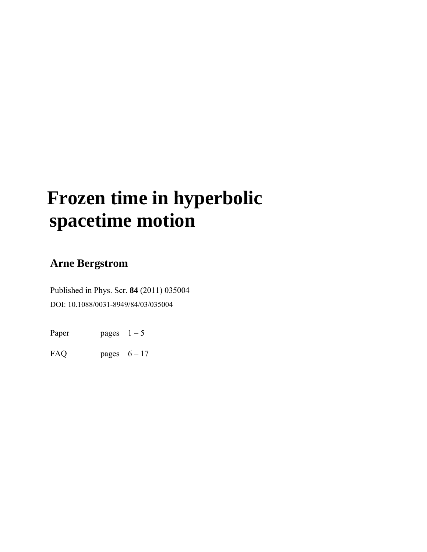# **Frozen time in hyperbolic spacetime motion**

## **Arne Bergstrom**

Published in Phys. Scr. **84** (2011) 035004 DOI: 10.1088/0031-8949/84/03/035004

Paper pages  $1 - 5$ 

FAQ pages  $6-17$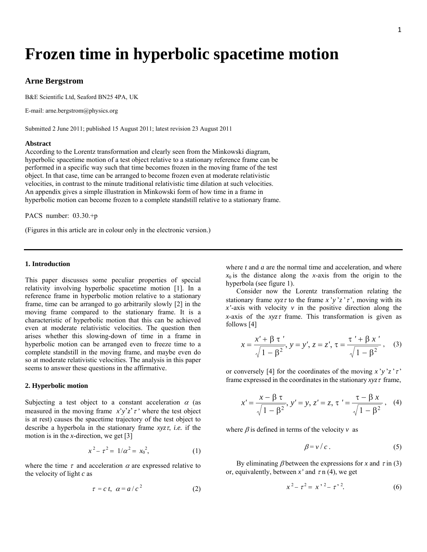## **Frozen time in hyperbolic spacetime motion**

#### **Arne Bergstrom**

B&E Scientific Ltd, Seaford BN25 4PA, UK

E-mail: arne.bergstrom@physics.org

Submitted 2 June 2011; published 15 August 2011; latest revision 23 August 2011

#### **Abstract**

According to the Lorentz transformation and clearly seen from the Minkowski diagram, hyperbolic spacetime motion of a test object relative to a stationary reference frame can be performed in a specific way such that time becomes frozen in the moving frame of the test object. In that case, time can be arranged to become frozen even at moderate relativistic velocities, in contrast to the minute traditional relativistic time dilation at such velocities. An appendix gives a simple illustration in Minkowski form of how time in a frame in hyperbolic motion can become frozen to a complete standstill relative to a stationary frame.

PACS number: 03.30.+p

(Figures in this article are in colour only in the electronic version.)

#### **1. Introduction**

This paper discusses some peculiar properties of special relativity involving hyperbolic spacetime motion [1]. In a reference frame in hyperbolic motion relative to a stationary frame, time can be arranged to go arbitrarily slowly [2] in the moving frame compared to the stationary frame. It is a characteristic of hyperbolic motion that this can be achieved even at moderate relativistic velocities. The question then arises whether this slowing-down of time in a frame in hyperbolic motion can be arranged even to freeze time to a complete standstill in the moving frame, and maybe even do so at moderate relativistic velocities. The analysis in this paper seems to answer these questions in the affirmative.

#### **2. Hyperbolic motion**

Subjecting a test object to a constant acceleration  $\alpha$  (as measured in the moving frame  $x'y'z'z'$  where the test object is at rest) causes the spacetime trajectory of the test object to describe a hyperbola in the stationary frame *xyz*τ, *i.e.* if the motion is in the *x*-direction, we get [3]

$$
x^2 - \tau^2 = 1/\alpha^2 = x_0^2, \tag{1}
$$

where the time  $\tau$  and acceleration  $\alpha$  are expressed relative to the velocity of light *c* as

$$
\tau = c \, t, \, \alpha = a / c^2 \tag{2}
$$

where *t* and *a* are the normal time and acceleration, and where  $x_0$  is the distance along the *x*-axis from the origin to the hyperbola (see figure 1).

 Consider now the Lorentz transformation relating the stationary frame  $xyz\tau$  to the frame  $x'y'z'\tau'$ , moving with its *'-axis with velocity*  $*v*$  *in the positive direction along the x*-axis of the *xyz*τ frame. This transformation is given as follows [4]

$$
x = \frac{x' + \beta \tau'}{\sqrt{1 - \beta^2}}, y = y', z = z', \tau = \frac{\tau' + \beta x'}{\sqrt{1 - \beta^2}},
$$
 (3)

or conversely [4] for the coordinates of the moving  $\chi' y' z' \tau'$ frame expressed in the coordinates in the stationary  $xyz\tau$  frame,

$$
x' = \frac{x - \beta \tau}{\sqrt{1 - \beta^2}}, \ y' = y, \ z' = z, \ \tau' = \frac{\tau - \beta x}{\sqrt{1 - \beta^2}}, \tag{4}
$$

where  $\beta$  is defined in terms of the velocity  $\nu$  as

$$
\beta = v / c \,. \tag{5}
$$

By eliminating  $\beta$  between the expressions for *x* and  $\tau$  in (3) or, equivalently, between  $x'$  and  $\tau$  n (4), we get

$$
x^2 - \tau^2 = x^{2} - \tau^{2}.
$$
 (6)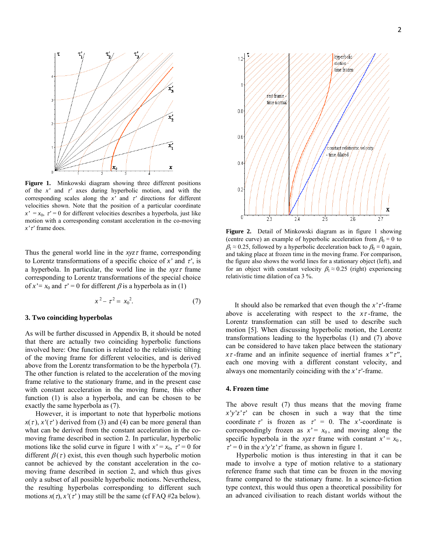

**Figure 1.** Minkowski diagram showing three different positions of the *x'* and τ*'* axes during hyperbolic motion, and with the corresponding scales along the  $x'$  and  $\tau'$  directions for different velocities shown. Note that the position of a particular coordinate  $x' = x_0$ ,  $\tau' = 0$  for different velocities describes a hyperbola, just like motion with a corresponding constant acceleration in the co-moving *x'*τ*'* frame does.

Thus the general world line in the *xyz*τ frame, corresponding to Lorentz transformations of a specific choice of  $x'$  and  $\tau'$ , is a hyperbola. In particular, the world line in the *xyz*τ frame corresponding to Lorentz transformations of the special choice of  $x' = x_0$  and  $\tau' = 0$  for different  $\beta$  is a hyperbola as in (1)

$$
x^2 - \tau^2 = x_0^2. \tag{7}
$$

#### **3. Two coinciding hyperbolas**

As will be further discussed in Appendix B, it should be noted that there are actually two coinciding hyperbolic functions involved here: One function is related to the relativistic tilting of the moving frame for different velocities, and is derived above from the Lorentz transformation to be the hyperbola (7). The other function is related to the acceleration of the moving frame relative to the stationary frame, and in the present case with constant acceleration in the moving frame, this other function (1) is also a hyperbola, and can be chosen to be exactly the same hyperbola as (7).

 However, it is important to note that hyperbolic motions  $x(\tau)$ ,  $x'(\tau')$  derived from (3) and (4) can be more general than what can be derived from the constant acceleration in the comoving frame described in section 2. In particular, hyperbolic motions like the solid curve in figure 1 with  $x' = x_0$ ,  $\tau' = 0$  for different  $\beta(\tau)$  exist, this even though such hyperbolic motion cannot be achieved by the constant acceleration in the comoving frame described in section 2, and which thus gives only a subset of all possible hyperbolic motions. Nevertheless, the resulting hyperbolas corresponding to different such motions  $x(\tau)$ ,  $x'(\tau')$  may still be the same (cf FAQ #2a below).



**Figure 2.** Detail of Minkowski diagram as in figure 1 showing (centre curve) an example of hyperbolic acceleration from  $\beta_0 = 0$  to  $\beta_1 \approx 0.25$ , followed by a hyperbolic deceleration back to  $\beta_0 = 0$  again, and taking place at frozen time in the moving frame. For comparison, the figure also shows the world lines for a stationary object (left), and for an object with constant velocity  $\beta_1 \approx 0.25$  (right) experiencing relativistic time dilation of ca 3 %.

 It should also be remarked that even though the *x'*τ*'*-frame above is accelerating with respect to the  $x\tau$ -frame, the Lorentz transformation can still be used to describe such motion [5]. When discussing hyperbolic motion, the Lorentz transformations leading to the hyperbolas (1) and (7) above can be considered to have taken place between the stationary *x*τ -frame and an infinite sequence of inertial frames *x"*τ*"*, each one moving with a different constant velocity, and always one momentarily coinciding with the *x'*τ*'*-frame.

#### **4. Frozen time**

The above result (7) thus means that the moving frame  $x'y'z'\tau'$  can be chosen in such a way that the time coordinate  $\tau'$  is frozen as  $\tau' = 0$ . The *x*'-coordinate is correspondingly frozen as  $x' = x_0$ , and moving along the specific hyperbola in the *xyz* frame with constant  $x' = x_0$ ,  $\tau' = 0$  in the *x'y'z'* $\tau'$  frame, as shown in figure 1.

 Hyperbolic motion is thus interesting in that it can be made to involve a type of motion relative to a stationary reference frame such that time can be frozen in the moving frame compared to the stationary frame. In a science-fiction type context, this would thus open a theoretical possibility for an advanced civilisation to reach distant worlds without the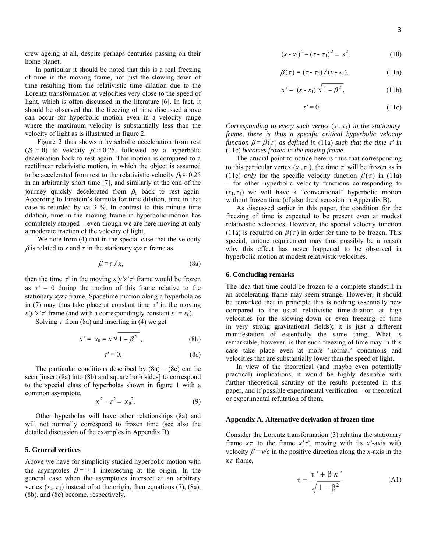crew ageing at all, despite perhaps centuries passing on their home planet.

 In particular it should be noted that this is a real freezing of time in the moving frame, not just the slowing-down of time resulting from the relativistic time dilation due to the Lorentz transformation at velocities very close to the speed of light, which is often discussed in the literature [6]. In fact, it should be observed that the freezing of time discussed above can occur for hyperbolic motion even in a velocity range where the maximum velocity is substantially less than the velocity of light as is illustrated in figure 2.

 Figure 2 thus shows a hyperbolic acceleration from rest  $(\beta_0 = 0)$  to velocity  $\beta_1 \approx 0.25$ , followed by a hyperbolic deceleration back to rest again. This motion is compared to a rectilinear relativistic motion, in which the object is assumed to be accelerated from rest to the relativistic velocity  $\beta_1 \approx 0.25$ in an arbitrarily short time [7], and similarly at the end of the journey quickly decelerated from  $\beta_1$  back to rest again. According to Einstein's formula for time dilation, time in that case is retarded by ca 3 %. In contrast to this minute time dilation, time in the moving frame in hyperbolic motion has completely stopped – even though we are here moving at only a moderate fraction of the velocity of light.

We note from  $(4)$  that in the special case that the velocity  $β$  is related to *x* and  $τ$  in the stationary *xyz* $τ$  frame as

$$
\beta = \tau / x, \tag{8a}
$$

then the time  $\tau'$  in the moving  $\chi' \gamma' \chi' \tau'$  frame would be frozen as  $\tau' = 0$  during the motion of this frame relative to the stationary *xyz*τ frame. Spacetime motion along a hyperbola as in (7) may thus take place at constant time  $\tau'$  in the moving *x'y'z'* $\tau$ <sup>'</sup> frame (and with a correspondingly constant  $x' = x_0$ ).

Solving  $\tau$  from (8a) and inserting in (4) we get

$$
x' = x_0 = x \sqrt{1 - \beta^2} \tag{8b}
$$

$$
\tau' = 0. \tag{8c}
$$

The particular conditions described by  $(8a) - (8c)$  can be seen [insert (8a) into (8b) and square both sides] to correspond to the special class of hyperbolas shown in figure 1 with a common asymptote,

$$
x^2 - \tau^2 = x_0^2. \tag{9}
$$

 Other hyperbolas will have other relationships (8a) and will not normally correspond to frozen time (see also the detailed discussion of the examples in Appendix B).

#### **5. General vertices**

Above we have for simplicity studied hyperbolic motion with the asymptotes  $\beta = \pm 1$  intersecting at the origin. In the general case when the asymptotes intersect at an arbitrary vertex  $(x_1, \tau_1)$  instead of at the origin, then equations (7), (8a), (8b), and (8c) become, respectively,

$$
(x - x_1)^2 - (\tau - \tau_1)^2 = s^2, \tag{10}
$$

$$
\beta(\tau) = (\tau - \tau_1) / (x - x_1), \tag{11a}
$$

$$
x' = (x - x_1) \sqrt{1 - \beta^2}, \tag{11b}
$$

$$
\tau' = 0. \tag{11c}
$$

*Corresponding to every such vertex*  $(x_1, \tau_1)$  *in the stationary frame, there is thus a specific critical hyperbolic velocity function*  $\beta = \beta(\tau)$  *as defined in* (11a) *such that the time*  $\tau'$  *in* (11c) *becomes frozen in the moving frame*.

 The crucial point to notice here is thus that corresponding to this particular vertex  $(x_1, \tau_1)$ , the time  $\tau'$  will be frozen as in (11c) *only* for the specific velocity function  $\beta(\tau)$  in (11a) – for other hyperbolic velocity functions corresponding to  $(x_1, \tau_1)$  we will have a "conventional" hyperbolic motion without frozen time (cf also the discussion in Appendix B).

 As discussed earlier in this paper, the condition for the freezing of time is expected to be present even at modest relativistic velocities. However, the special velocity function (11a) is required on  $\beta(\tau)$  in order for time to be frozen. This special, unique requirement may thus possibly be a reason why this effect has never happened to be observed in hyperbolic motion at modest relativistic velocities.

#### **6. Concluding remarks**

The idea that time could be frozen to a complete standstill in an accelerating frame may seem strange. However, it should be remarked that in principle this is nothing essentially new compared to the usual relativistic time-dilation at high velocities (or the slowing-down or even freezing of time in very strong gravitational fields); it is just a different manifestation of essentially the same thing. What is remarkable, however, is that such freezing of time may in this case take place even at more 'normal' conditions and velocities that are substantially lower than the speed of light.

 In view of the theoretical (and maybe even potentially practical) implications, it would be highly desirable with further theoretical scrutiny of the results presented in this paper, and if possible experimental verification – or theoretical or experimental refutation of them.

#### **Appendix A. Alternative derivation of frozen time**

Consider the Lorentz transformation (3) relating the stationary frame *x*τ to the frame *x'*τ*'*, moving with its *x'*-axis with velocity  $\beta = v/c$  in the positive direction along the *x*-axis in the *x*τ frame,

$$
\tau = \frac{\tau' + \beta x'}{\sqrt{1 - \beta^2}}\tag{A1}
$$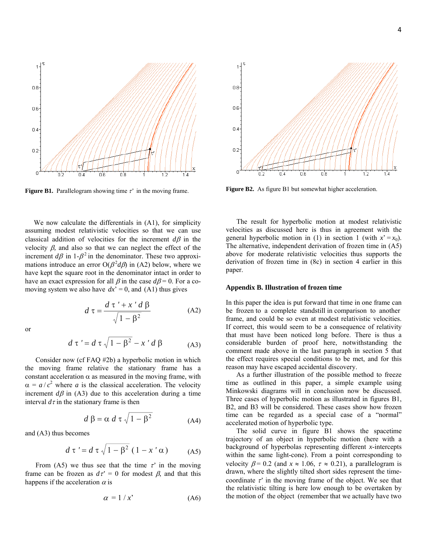

**Figure B1.** Parallelogram showing time  $\tau'$  in the moving frame.

 We now calculate the differentials in (A1), for simplicity assuming modest relativistic velocities so that we can use classical addition of velocities for the increment *d*β in the velocity  $β$ , and also so that we can neglect the effect of the increment  $d\beta$  in 1- $\beta^2$  in the denominator. These two approximations introduce an error  $O(\beta^2 d\beta)$  in (A2) below, where we have kept the square root in the denominator intact in order to have an exact expression for all  $\beta$  in the case  $d\beta = 0$ . For a comoving system we also have  $dx' = 0$ , and (A1) thus gives

or

$$
d\tau = \frac{d\tau' + x'd\beta}{\sqrt{1 - \beta^2}}
$$
 (A2)

$$
d \tau' = d \tau \sqrt{1 - \beta^2} - x' d \beta \tag{A3}
$$

 Consider now (cf FAQ #2b) a hyperbolic motion in which the moving frame relative the stationary frame has a constant acceleration  $\alpha$  as measured in the moving frame, with  $\alpha = a/c^2$  where *a* is the classical acceleration. The velocity increment  $d\beta$  in (A3) due to this acceleration during a time interval  $d\tau$  in the stationary frame is then

$$
d \beta = \alpha \, d \tau \sqrt{1 - \beta^2} \tag{A4}
$$

and (A3) thus becomes

$$
d\,\tau' = d\,\tau \sqrt{1 - \beta^2} \left(1 - x'\,\alpha\right) \tag{A5}
$$

From (A5) we thus see that the time  $\tau'$  in the moving frame can be frozen as  $d\tau' = 0$  for modest  $\beta$ , and that this happens if the acceleration  $\alpha$  is

$$
\alpha = 1 / x' \tag{A6}
$$



**Figure B2.** As figure B1 but somewhat higher acceleration.

 The result for hyperbolic motion at modest relativistic velocities as discussed here is thus in agreement with the general hyperbolic motion in (1) in section 1 (with  $x' = x_0$ ). The alternative, independent derivation of frozen time in (A5) above for moderate relativistic velocities thus supports the derivation of frozen time in (8c) in section 4 earlier in this paper.

#### **Appendix B. Illustration of frozen time**

In this paper the idea is put forward that time in one frame can be frozen to a complete standstill in comparison to another frame, and could be so even at modest relativistic velocities. If correct, this would seem to be a consequence of relativity that must have been noticed long before. There is thus a considerable burden of proof here, notwithstanding the comment made above in the last paragraph in section 5 that the effect requires special conditions to be met, and for this reason may have escaped accidental discovery.

 As a further illustration of the possible method to freeze time as outlined in this paper, a simple example using Minkowski diagrams will in conclusion now be discussed. Three cases of hyperbolic motion as illustrated in figures B1, B2, and B3 will be considered. These cases show how frozen time can be regarded as a special case of a "normal" accelerated motion of hyperbolic type.

 The solid curve in figure B1 shows the spacetime trajectory of an object in hyperbolic motion (here with a background of hyperbolas representing different *x*-intercepts within the same light-cone). From a point corresponding to velocity  $\beta$  = 0.2 (and  $x \approx 1.06$ ,  $\tau \approx 0.21$ ), a parallelogram is drawn, where the slightly tilted short sides represent the timecoordinate  $\tau'$  in the moving frame of the object. We see that the relativistic tilting is here low enough to be overtaken by the motion of the object (remember that we actually have two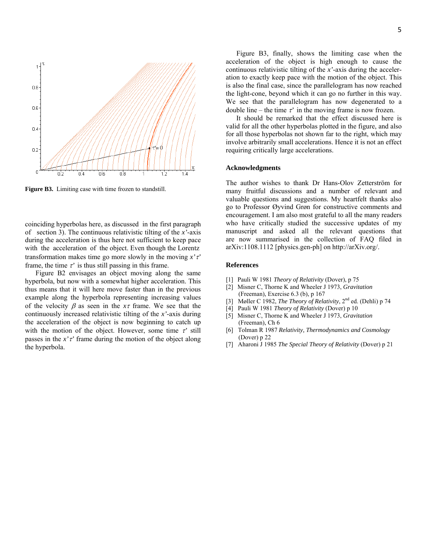

**Figure B3.** Limiting case with time frozen to standstill.

coinciding hyperbolas here, as discussed in the first paragraph of section 3). The continuous relativistic tilting of the *x'*-axis during the acceleration is thus here not sufficient to keep pace with the acceleration of the object. Even though the Lorentz transformation makes time go more slowly in the moving *x'*τ*'* frame, the time  $\tau'$  is thus still passing in this frame.

 Figure B2 envisages an object moving along the same hyperbola, but now with a somewhat higher acceleration. This thus means that it will here move faster than in the previous example along the hyperbola representing increasing values of the velocity  $\beta$  as seen in the  $x\tau$  frame. We see that the continuously increased relativistic tilting of the *x'*-axis during the acceleration of the object is now beginning to catch up with the motion of the object. However, some time τ*'* still passes in the *x'*<sup>†</sup> frame during the motion of the object along the hyperbola.

 Figure B3, finally, shows the limiting case when the acceleration of the object is high enough to cause the continuous relativistic tilting of the *x'*-axis during the acceleration to exactly keep pace with the motion of the object. This is also the final case, since the parallelogram has now reached the light-cone, beyond which it can go no further in this way. We see that the parallelogram has now degenerated to a double line – the time  $\tau'$  in the moving frame is now frozen.

 It should be remarked that the effect discussed here is valid for all the other hyperbolas plotted in the figure, and also for all those hyperbolas not shown far to the right, which may involve arbitrarily small accelerations. Hence it is not an effect requiring critically large accelerations.

#### **Acknowledgments**

The author wishes to thank Dr Hans-Olov Zetterström for many fruitful discussions and a number of relevant and valuable questions and suggestions. My heartfelt thanks also go to Professor Øyvind Grøn for constructive comments and encouragement. I am also most grateful to all the many readers who have critically studied the successive updates of my manuscript and asked all the relevant questions that are now summarised in the collection of FAQ filed in arXiv:1108.1112 [physics.gen-ph] on http://arXiv.org/.

#### **References**

- [1] Pauli W 1981 *Theory of Relativity* (Dover), p 75
- [2] Misner C, Thorne K and Wheeler J 1973, *Gravitation* (Freeman), Exercise 6.3 (b), p 167
- [3] Møller C 1982, *The Theory of Relativity*, 2nd ed. (Dehli) p 74
- [4] Pauli W 1981 *Theory of Relativity* (Dover) p 10
- [5] Misner C, Thorne K and Wheeler J 1973, *Gravitation* (Freeman), Ch 6
- [6] Tolman R 1987 *Relativity, Thermodynamics and Cosmology* (Dover) p 22
- [7] Aharoni J 1985 *The Special Theory of Relativity* (Dover) p 21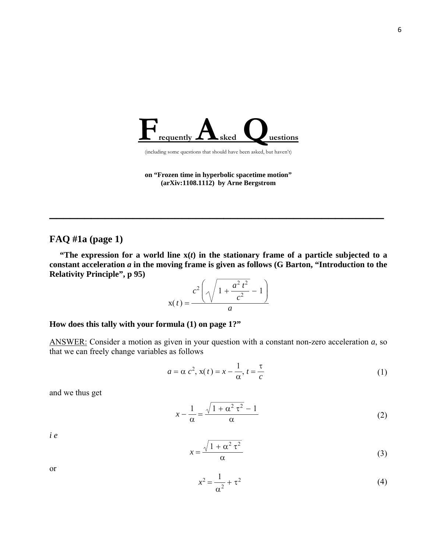

(including some questions that should have been asked, but haven't)

**on "Frozen time in hyperbolic spacetime motion" (arXiv:1108.1112) by Arne Bergstrom**

**\_\_\_\_\_\_\_\_\_\_\_\_\_\_\_\_\_\_\_\_\_\_\_\_\_\_\_\_\_\_\_\_\_\_\_\_\_\_\_\_\_\_\_\_\_\_\_\_**

## **FAQ #1a (page 1)**

 **"The expression for a world line x(***t***) in the stationary frame of a particle subjected to a constant acceleration** *a* **in the moving frame is given as follows (G Barton, "Introduction to the Relativity Principle", p 95)**

$$
x(t) = \frac{c^2 \left(\sqrt{1 + \frac{a^2 t^2}{c^2} - 1}\right)}{a}
$$

## **How does this tally with your formula (1) on page 1?"**

ANSWER: Consider a motion as given in your question with a constant non-zero acceleration *a*, so that we can freely change variables as follows

$$
a = \alpha c^2, x(t) = x - \frac{1}{\alpha}, t = \frac{\tau}{c}
$$
 (1)

and we thus get

$$
x - \frac{1}{\alpha} = \frac{\sqrt{1 + \alpha^2 \tau^2} - 1}{\alpha} \tag{2}
$$

*i e*

$$
x = \frac{\sqrt{1 + \alpha^2 \tau^2}}{\alpha} \tag{3}
$$

or

$$
x^2 = \frac{1}{\alpha^2} + \tau^2
$$
 (4)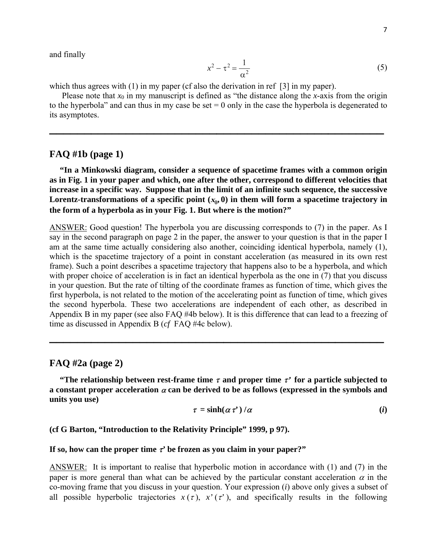and finally

$$
x^2 - \tau^2 = \frac{1}{\alpha^2} \tag{5}
$$

which thus agrees with (1) in my paper (cf also the derivation in ref [3] in my paper).

Please note that  $x_0$  in my manuscript is defined as "the distance along the *x*-axis from the origin to the hyperbola" and can thus in my case be set  $= 0$  only in the case the hyperbola is degenerated to its asymptotes.

**\_\_\_\_\_\_\_\_\_\_\_\_\_\_\_\_\_\_\_\_\_\_\_\_\_\_\_\_\_\_\_\_\_\_\_\_\_\_\_\_\_\_\_\_\_\_\_\_**

## **FAQ #1b (page 1)**

 **"In a Minkowski diagram, consider a sequence of spacetime frames with a common origin as in Fig. 1 in your paper and which, one after the other, correspond to different velocities that increase in a specific way. Suppose that in the limit of an infinite such sequence, the successive** Lorentz-transformations of a specific point  $(x_0, 0)$  in them will form a spacetime trajectory in **the form of a hyperbola as in your Fig. 1. But where is the motion?"**

ANSWER: Good question! The hyperbola you are discussing corresponds to (7) in the paper. As I say in the second paragraph on page 2 in the paper, the answer to your question is that in the paper I am at the same time actually considering also another, coinciding identical hyperbola, namely (1), which is the spacetime trajectory of a point in constant acceleration (as measured in its own rest frame). Such a point describes a spacetime trajectory that happens also to be a hyperbola, and which with proper choice of acceleration is in fact an identical hyperbola as the one in (7) that you discuss in your question. But the rate of tilting of the coordinate frames as function of time, which gives the first hyperbola, is not related to the motion of the accelerating point as function of time, which gives the second hyperbola. These two accelerations are independent of each other, as described in Appendix B in my paper (see also FAQ #4b below). It is this difference that can lead to a freezing of time as discussed in Appendix B (*cf* FAQ #4c below).

## **FAQ #2a (page 2)**

 **"The relationship between rest-frame time**  $\tau$  **and proper time**  $\tau'$  **for a particle subjected to a constant proper acceleration** <sup>α</sup> **can be derived to be as follows (expressed in the symbols and units you use)**

**\_\_\_\_\_\_\_\_\_\_\_\_\_\_\_\_\_\_\_\_\_\_\_\_\_\_\_\_\_\_\_\_\_\_\_\_\_\_\_\_\_\_\_\_\_\_\_\_**

$$
\tau = \sinh(\alpha \tau') / \alpha \tag{i}
$$

**(cf G Barton, "Introduction to the Relativity Principle" 1999, p 97).**

## **If so, how can the proper time**  $\tau'$  **be frozen as you claim in your paper?"**

ANSWER: It is important to realise that hyperbolic motion in accordance with (1) and (7) in the paper is more general than what can be achieved by the particular constant acceleration  $\alpha$  in the co-moving frame that you discuss in your question. Your expression (*i*) above only gives a subset of all possible hyperbolic trajectories  $x(\tau)$ ,  $x'(\tau')$ , and specifically results in the following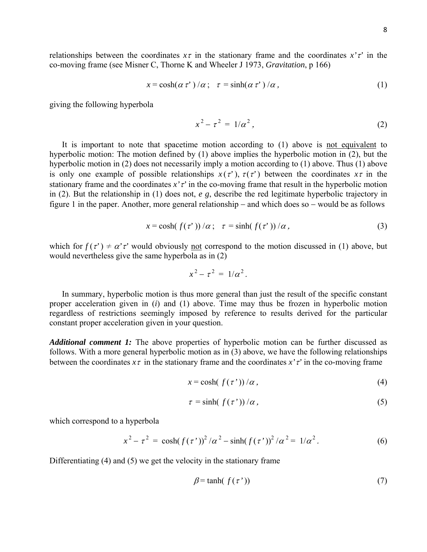relationships between the coordinates  $x\tau$  in the stationary frame and the coordinates  $x'\tau'$  in the co-moving frame (see Misner C, Thorne K and Wheeler J 1973, *Gravitation*, p 166)

$$
x = \cosh(\alpha \tau') / \alpha; \quad \tau = \sinh(\alpha \tau') / \alpha,
$$
 (1)

giving the following hyperbola

$$
x^2 - \tau^2 = 1/\alpha^2, \qquad (2)
$$

 It is important to note that spacetime motion according to (1) above is not equivalent to hyperbolic motion: The motion defined by (1) above implies the hyperbolic motion in (2), but the hyperbolic motion in (2) does not necessarily imply a motion according to (1) above. Thus (1) above is only one example of possible relationships  $x(\tau')$ ,  $\tau(\tau')$  between the coordinates  $x\tau$  in the stationary frame and the coordinates  $x \, \tilde{t}$  in the co-moving frame that result in the hyperbolic motion in (2). But the relationship in (1) does not, *e g*, describe the red legitimate hyperbolic trajectory in figure 1 in the paper. Another, more general relationship − and which does so − would be as follows

$$
x = \cosh(f(\tau'))/\alpha; \quad \tau = \sinh(f(\tau'))/\alpha,
$$
 (3)

which for  $f(\tau') \neq \alpha' \tau'$  would obviously not correspond to the motion discussed in (1) above, but would nevertheless give the same hyperbola as in (2)

$$
x^2 - \tau^2 = 1/\alpha^2.
$$

 In summary, hyperbolic motion is thus more general than just the result of the specific constant proper acceleration given in (*i*) and (1) above. Time may thus be frozen in hyperbolic motion regardless of restrictions seemingly imposed by reference to results derived for the particular constant proper acceleration given in your question.

*Additional comment 1:* The above properties of hyperbolic motion can be further discussed as follows. With a more general hyperbolic motion as in (3) above, we have the following relationships between the coordinates  $x\tau$  in the stationary frame and the coordinates  $x'\tau'$  in the co-moving frame

$$
x = \cosh(f(\tau'))/\alpha, \tag{4}
$$

$$
\tau = \sinh(f(\tau'))/\alpha, \tag{5}
$$

which correspond to a hyperbola

$$
x^{2} - \tau^{2} = \cosh(f(\tau^{*}))^{2}/\alpha^{2} - \sinh(f(\tau^{*}))^{2}/\alpha^{2} = 1/\alpha^{2}.
$$
 (6)

Differentiating (4) and (5) we get the velocity in the stationary frame

$$
\beta = \tanh(f(\tau'))\tag{7}
$$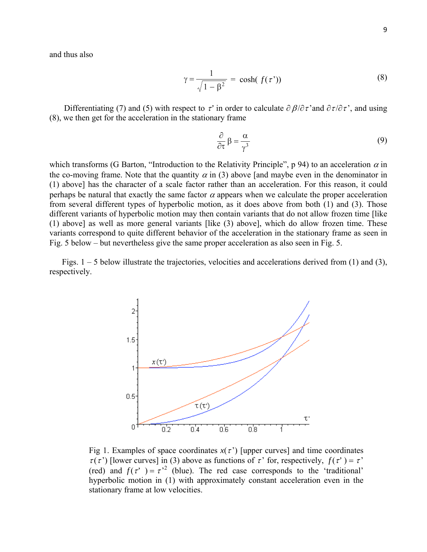$$
\gamma = \frac{1}{\sqrt{1 - \beta^2}} = \cosh(f(\tau')) \tag{8}
$$

Differentiating (7) and (5) with respect to  $\tau'$  in order to calculate  $\partial \beta / \partial \tau'$  and  $\partial \tau / \partial \tau'$ , and using (8), we then get for the acceleration in the stationary frame

$$
\frac{\partial}{\partial \tau} \beta = \frac{\alpha}{\gamma^3} \tag{9}
$$

which transforms (G Barton, "Introduction to the Relativity Principle", p 94) to an acceleration  $\alpha$  in the co-moving frame. Note that the quantity  $\alpha$  in (3) above [and maybe even in the denominator in (1) above] has the character of a scale factor rather than an acceleration. For this reason, it could perhaps be natural that exactly the same factor  $\alpha$  appears when we calculate the proper acceleration from several different types of hyperbolic motion, as it does above from both (1) and (3). Those different variants of hyperbolic motion may then contain variants that do not allow frozen time [like (1) above] as well as more general variants [like (3) above], which do allow frozen time. These variants correspond to quite different behavior of the acceleration in the stationary frame as seen in Fig. 5 below – but nevertheless give the same proper acceleration as also seen in Fig. 5.

 Figs. 1 – 5 below illustrate the trajectories, velocities and accelerations derived from (1) and (3), respectively.



Fig 1. Examples of space coordinates  $x(\tau')$  [upper curves] and time coordinates  $\tau(\tau')$  [lower curves] in (3) above as functions of  $\tau'$  for, respectively,  $f(\tau') = \tau'$ (red) and  $f(\tau') = \tau'^2$  (blue). The red case corresponds to the 'traditional' hyperbolic motion in (1) with approximately constant acceleration even in the stationary frame at low velocities.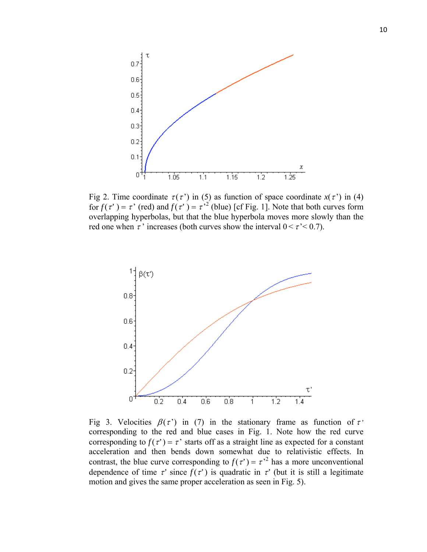

Fig 2. Time coordinate  $\tau(\tau')$  in (5) as function of space coordinate  $x(\tau')$  in (4) for  $f(\tau') = \tau'$  (red) and  $f(\tau') = \tau'^2$  (blue) [cf Fig. 1]. Note that both curves form overlapping hyperbolas, but that the blue hyperbola moves more slowly than the red one when  $\tau$  ' increases (both curves show the interval  $0 \le \tau \le 0.7$ ).



Fig 3. Velocities  $\beta(\tau')$  in (7) in the stationary frame as function of  $\tau'$ corresponding to the red and blue cases in Fig. 1. Note how the red curve corresponding to  $f(\tau') = \tau'$  starts off as a straight line as expected for a constant acceleration and then bends down somewhat due to relativistic effects. In contrast, the blue curve corresponding to  $f(\tau') = \tau'^2$  has a more unconventional dependence of time  $\tau'$  since  $f(\tau')$  is quadratic in  $\tau'$  (but it is still a legitimate motion and gives the same proper acceleration as seen in Fig. 5).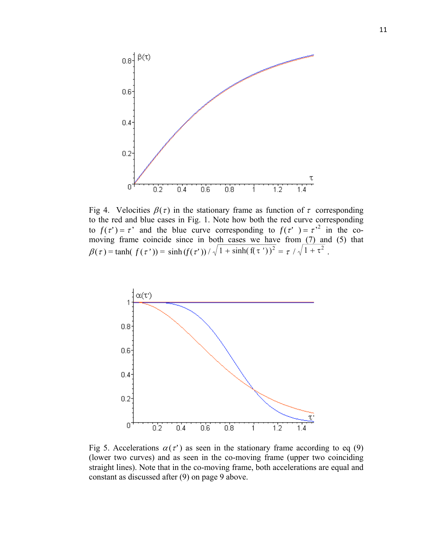

Fig 4. Velocities  $\beta(\tau)$  in the stationary frame as function of  $\tau$  corresponding to the red and blue cases in Fig. 1. Note how both the red curve corresponding to  $f(\tau') = \tau'$  and the blue curve corresponding to  $f(\tau') = \tau'^2$  in the comoving frame coincide since in both cases we have from (7) and (5) that  $\beta(\tau) = \tanh(f(\tau')) = \sinh(f(\tau')) / \sqrt{1 + \sinh(f(\tau'))^2} = \tau / \sqrt{1 + \tau^2}$ .



Fig 5. Accelerations  $\alpha(\tau)$  as seen in the stationary frame according to eq (9) (lower two curves) and as seen in the co-moving frame (upper two coinciding straight lines). Note that in the co-moving frame, both accelerations are equal and constant as discussed after (9) on page 9 above.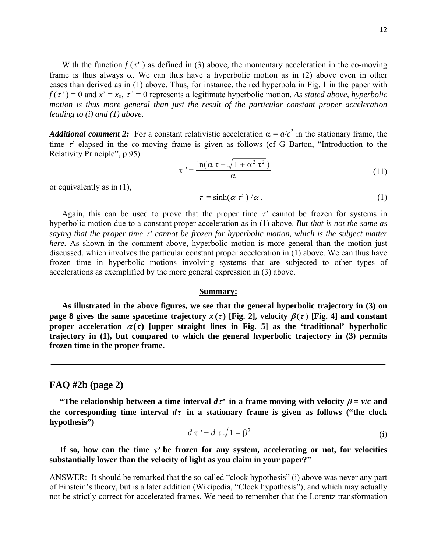With the function  $f(\tau')$  as defined in (3) above, the momentary acceleration in the co-moving frame is thus always  $\alpha$ . We can thus have a hyperbolic motion as in (2) above even in other cases than derived as in (1) above. Thus, for instance, the red hyperbola in Fig. 1 in the paper with  $f(\tau') = 0$  and  $x' = x_0$ ,  $\tau' = 0$  represents a legitimate hyperbolic motion. As stated above, hyperbolic *motion is thus more general than just the result of the particular constant proper acceleration leading to (i) and (1) above.*

*Additional comment 2:* For a constant relativistic acceleration  $\alpha = a/c^2$  in the stationary frame, the time τ*'* elapsed in the co-moving frame is given as follows (cf G Barton, "Introduction to the Relativity Principle", p 95)

$$
\tau' = \frac{\ln(\alpha \tau + \sqrt{1 + \alpha^2 \tau^2})}{\alpha} \tag{11}
$$

or equivalently as in (1),

$$
\tau = \sinh(\alpha \tau') / \alpha \tag{1}
$$

Again, this can be used to prove that the proper time  $\tau'$  cannot be frozen for systems in hyperbolic motion due to a constant proper acceleration as in (1) above. *But that is not the same as saying that the proper time* τ*' cannot be frozen for hyperbolic motion, which is the subject matter here.* As shown in the comment above, hyperbolic motion is more general than the motion just discussed, which involves the particular constant proper acceleration in (1) above. We can thus have frozen time in hyperbolic motions involving systems that are subjected to other types of accelerations as exemplified by the more general expression in (3) above.

## **Summary:**

 **As illustrated in the above figures, we see that the general hyperbolic trajectory in (3) on page 8 gives the same spacetime trajectory**  $x(\tau)$  **[Fig. 2], velocity**  $\beta(\tau)$  **[Fig. 4] and constant proper acceleration**  $\alpha(\tau)$  **[upper straight lines in Fig. 5] as the 'traditional' hyperbolic trajectory in (1), but compared to which the general hyperbolic trajectory in (3) permits frozen time in the proper frame.**

**\_\_\_\_\_\_\_\_\_\_\_\_\_\_\_\_\_\_\_\_\_\_\_\_\_\_\_\_\_\_\_\_\_\_\_\_\_\_\_\_\_\_\_\_\_\_\_\_**

## **FAQ #2b (page 2)**

 **"The relationship between a time interval**  $d\tau$  **<b>in a frame moving with velocity**  $\beta = v/c$  **and** the corresponding time interval  $d\tau$  in a stationary frame is given as follows ("the clock **hypothesis")**

$$
d \tau' = d \tau \sqrt{1 - \beta^2} \tag{i}
$$

If so, how can the time  $\tau'$  be frozen for any system, accelerating or not, for velocities **substantially lower than the velocity of light as you claim in your paper?"**

ANSWER: It should be remarked that the so-called "clock hypothesis" (i) above was never any part of Einstein's theory, but is a later addition (Wikipedia, "Clock hypothesis"), and which may actually not be strictly correct for accelerated frames. We need to remember that the Lorentz transformation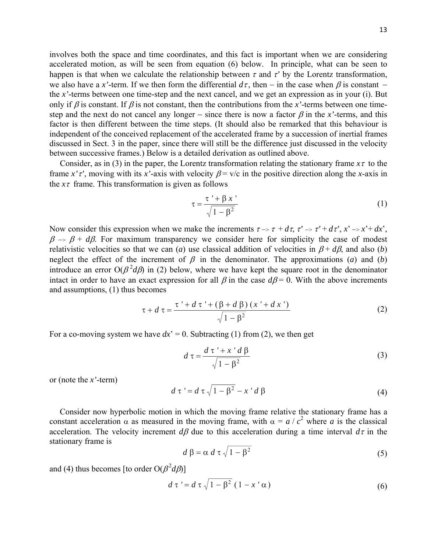involves both the space and time coordinates, and this fact is important when we are considering accelerated motion, as will be seen from equation (6) below. In principle, what can be seen to happen is that when we calculate the relationship between  $\tau$  and  $\tau'$  by the Lorentz transformation, we also have a *x*'-term. If we then form the differential  $d\tau$ , then – in the case when  $\beta$  is constant – the *x'*-terms between one time-step and the next cancel, and we get an expression as in your (i). But only if  $\beta$  is constant. If  $\beta$  is not constant, then the contributions from the *x*'-terms between one timestep and the next do not cancel any longer – since there is now a factor  $\beta$  in the *x*'-terms, and this factor is then different between the time steps. (It should also be remarked that this behaviour is independent of the conceived replacement of the accelerated frame by a succession of inertial frames discussed in Sect. 3 in the paper, since there will still be the difference just discussed in the velocity between successive frames.) Below is a detailed derivation as outlined above.

 Consider, as in (3) in the paper, the Lorentz transformation relating the stationary frame *x*τ to the frame  $x^{\prime}$  *τ'*, moving with its *x'*-axis with velocity  $\beta = v/c$  in the positive direction along the *x*-axis in the  $x\tau$  frame. This transformation is given as follows

$$
\tau = \frac{\tau' + \beta x'}{\sqrt{1 - \beta^2}}\tag{1}
$$

Now consider this expression when we make the increments  $\tau \rightarrow \tau + d\tau$ ,  $\tau' \rightarrow \tau' + d\tau'$ ,  $x' \rightarrow x' + dx'$ ,  $\beta \rightarrow \beta + d\beta$ . For maximum transparency we consider here for simplicity the case of modest relativistic velocities so that we can (*a*) use classical addition of velocities in  $\beta + d\beta$ , and also (*b*) neglect the effect of the increment of  $\beta$  in the denominator. The approximations (*a*) and (*b*) introduce an error  $O(\beta^2 d\beta)$  in (2) below, where we have kept the square root in the denominator intact in order to have an exact expression for all  $\beta$  in the case  $d\beta = 0$ . With the above increments and assumptions, (1) thus becomes

$$
\tau + d \tau = \frac{\tau' + d \tau' + (\beta + d \beta) (x' + d x')}{\sqrt{1 - \beta^2}}
$$
 (2)

For a co-moving system we have  $dx' = 0$ . Subtracting (1) from (2), we then get

$$
d\tau = \frac{d\tau' + x'd\beta}{\sqrt{1-\beta^2}}
$$
 (3)

or (note the *x'*-term)

$$
d \tau' = d \tau \sqrt{1 - \beta^2} - x' d \beta \tag{4}
$$

 Consider now hyperbolic motion in which the moving frame relative the stationary frame has a constant acceleration  $\alpha$  as measured in the moving frame, with  $\alpha = a/c^2$  where *a* is the classical acceleration. The velocity increment  $d\beta$  due to this acceleration during a time interval  $d\tau$  in the stationary frame is

$$
d \beta = \alpha \, d \tau \sqrt{1 - \beta^2} \tag{5}
$$

and (4) thus becomes [to order  $O(\beta^2 d\beta)$ ]

$$
d\,\tau' = d\,\tau\,\sqrt{1-\beta^2}\,\left(1-x'\,\alpha\right) \tag{6}
$$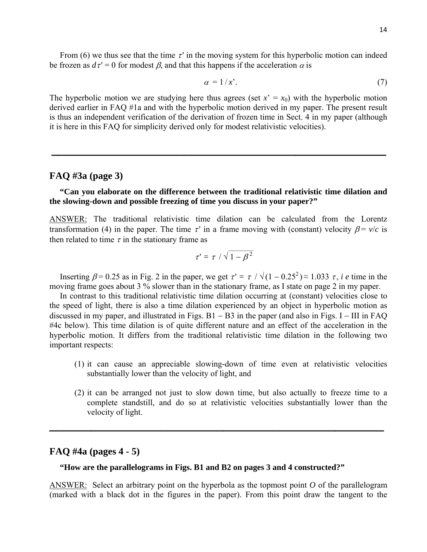From (6) we thus see that the time τ*'* in the moving system for this hyperbolic motion can indeed be frozen as  $d\tau' = 0$  for modest  $\beta$ , and that this happens if the acceleration  $\alpha$  is

$$
\alpha = 1/x'.
$$
 (7)

The hyperbolic motion we are studying here thus agrees (set  $x' = x_0$ ) with the hyperbolic motion derived earlier in FAQ #1a and with the hyperbolic motion derived in my paper. The present result is thus an independent verification of the derivation of frozen time in Sect. 4 in my paper (although it is here in this FAQ for simplicity derived only for modest relativistic velocities).

**\_\_\_\_\_\_\_\_\_\_\_\_\_\_\_\_\_\_\_\_\_\_\_\_\_\_\_\_\_\_\_\_\_\_\_\_\_\_\_\_\_\_\_\_\_\_\_\_**

## **FAQ #3a (page 3)**

## **"Can you elaborate on the difference between the traditional relativistic time dilation and the slowing-down and possible freezing of time you discuss in your paper?"**

ANSWER: The traditional relativistic time dilation can be calculated from the Lorentz transformation (4) in the paper. The time  $\tau'$  in a frame moving with (constant) velocity  $\beta = v/c$  is then related to time  $\tau$  in the stationary frame as

$$
\tau' = \tau / \sqrt{1-\beta^2}
$$

Inserting  $\beta$  = 0.25 as in Fig. 2 in the paper, we get  $\tau' = \tau / \sqrt{(1 - 0.25^2)} \approx 1.033 \tau$ , *i e* time in the moving frame goes about 3 % slower than in the stationary frame, as I state on page 2 in my paper.

 In contrast to this traditional relativistic time dilation occurring at (constant) velocities close to the speed of light, there is also a time dilation experienced by an object in hyperbolic motion as discussed in my paper, and illustrated in Figs.  $B1 - B3$  in the paper (and also in Figs. I – III in FAQ #4c below). This time dilation is of quite different nature and an effect of the acceleration in the hyperbolic motion. It differs from the traditional relativistic time dilation in the following two important respects:

- (1) it can cause an appreciable slowing-down of time even at relativistic velocities substantially lower than the velocity of light, and
- (2) it can be arranged not just to slow down time, but also actually to freeze time to a complete standstill, and do so at relativistic velocities substantially lower than the velocity of light.

## **FAQ #4a (pages 4 - 5)**

## **"How are the parallelograms in Figs. B1 and B2 on pages 3 and 4 constructed?"**

ANSWER: Select an arbitrary point on the hyperbola as the topmost point *O* of the parallelogram (marked with a black dot in the figures in the paper). From this point draw the tangent to the

**\_\_\_\_\_\_\_\_\_\_\_\_\_\_\_\_\_\_\_\_\_\_\_\_\_\_\_\_\_\_\_\_\_\_\_\_\_\_\_\_\_\_\_\_\_\_\_\_**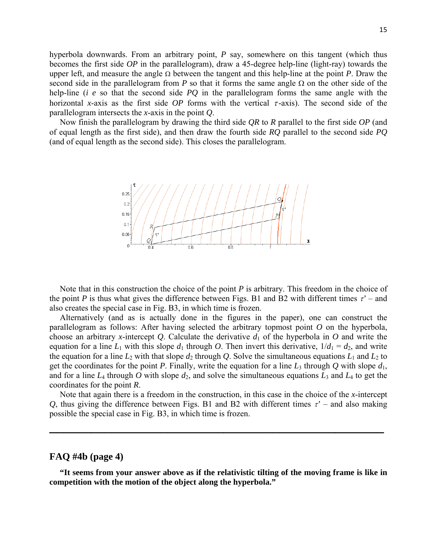hyperbola downwards. From an arbitrary point, *P* say, somewhere on this tangent (which thus becomes the first side *OP* in the parallelogram), draw a 45-degree help-line (light-ray) towards the upper left, and measure the angle Ω between the tangent and this help-line at the point *P*. Draw the second side in the parallelogram from *P* so that it forms the same angle  $\Omega$  on the other side of the help-line (*i e* so that the second side *PQ* in the parallelogram forms the same angle with the horizontal *x*-axis as the first side *OP* forms with the vertical  $\tau$ -axis). The second side of the parallelogram intersects the *x*-axis in the point *Q*.

 Now finish the parallelogram by drawing the third side *QR* to *R* parallel to the first side *OP* (and of equal length as the first side), and then draw the fourth side *RQ* parallel to the second side *PQ* (and of equal length as the second side). This closes the parallelogram.



 Note that in this construction the choice of the point *P* is arbitrary. This freedom in the choice of the point *P* is thus what gives the difference between Figs. B1 and B2 with different times  $\tau'$  – and also creates the special case in Fig. B3, in which time is frozen.

 Alternatively (and as is actually done in the figures in the paper), one can construct the parallelogram as follows: After having selected the arbitrary topmost point *O* on the hyperbola, choose an arbitrary *x*-intercept *Q*. Calculate the derivative  $d_1$  of the hyperbola in *O* and write the equation for a line  $L_1$  with this slope  $d_1$  through O. Then invert this derivative,  $1/d_1 = d_2$ , and write the equation for a line  $L_2$  with that slope  $d_2$  through *Q*. Solve the simultaneous equations  $L_1$  and  $L_2$  to get the coordinates for the point *P*. Finally, write the equation for a line  $L_3$  through *Q* with slope  $d_1$ , and for a line  $L_4$  through  $O$  with slope  $d_2$ , and solve the simultaneous equations  $L_3$  and  $L_4$  to get the coordinates for the point *R*.

 Note that again there is a freedom in the construction, in this case in the choice of the *x*-intercept *Q*, thus giving the difference between Figs. B1 and B2 with different times  $\tau'$  – and also making possible the special case in Fig. B3, in which time is frozen.

**\_\_\_\_\_\_\_\_\_\_\_\_\_\_\_\_\_\_\_\_\_\_\_\_\_\_\_\_\_\_\_\_\_\_\_\_\_\_\_\_\_\_\_\_\_\_\_\_**

## **FAQ #4b (page 4)**

 **"It seems from your answer above as if the relativistic tilting of the moving frame is like in competition with the motion of the object along the hyperbola."**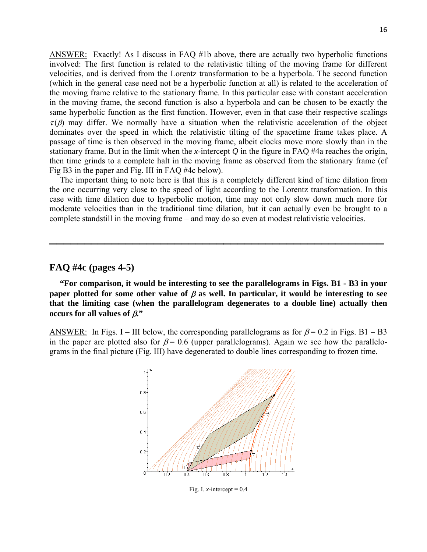ANSWER: Exactly! As I discuss in FAQ #1b above, there are actually two hyperbolic functions involved: The first function is related to the relativistic tilting of the moving frame for different velocities, and is derived from the Lorentz transformation to be a hyperbola. The second function (which in the general case need not be a hyperbolic function at all) is related to the acceleration of the moving frame relative to the stationary frame. In this particular case with constant acceleration in the moving frame, the second function is also a hyperbola and can be chosen to be exactly the same hyperbolic function as the first function. However, even in that case their respective scalings  $\tau(\beta)$  may differ. We normally have a situation when the relativistic acceleration of the object dominates over the speed in which the relativistic tilting of the spacetime frame takes place. A passage of time is then observed in the moving frame, albeit clocks move more slowly than in the stationary frame. But in the limit when the *x*-intercept *Q* in the figure in FAQ #4a reaches the origin, then time grinds to a complete halt in the moving frame as observed from the stationary frame (cf Fig B3 in the paper and Fig. III in FAQ #4c below).

 The important thing to note here is that this is a completely different kind of time dilation from the one occurring very close to the speed of light according to the Lorentz transformation. In this case with time dilation due to hyperbolic motion, time may not only slow down much more for moderate velocities than in the traditional time dilation, but it can actually even be brought to a complete standstill in the moving frame – and may do so even at modest relativistic velocities.

**\_\_\_\_\_\_\_\_\_\_\_\_\_\_\_\_\_\_\_\_\_\_\_\_\_\_\_\_\_\_\_\_\_\_\_\_\_\_\_\_\_\_\_\_\_\_\_\_**

## **FAQ #4c (pages 4-5)**

 **"For comparison, it would be interesting to see the parallelograms in Figs. B1 - B3 in your paper plotted for some other value of**  $\beta$  **as well. In particular, it would be interesting to see that the limiting case (when the parallelogram degenerates to a double line) actually then occurs for all values of** β**."**

ANSWER: In Figs. I – III below, the corresponding parallelograms as for  $\beta$  = 0.2 in Figs. B1 – B3 in the paper are plotted also for  $\beta$  = 0.6 (upper parallelograms). Again we see how the parallelograms in the final picture (Fig. III) have degenerated to double lines corresponding to frozen time.



Fig. I. *x*-intercept =  $0.4$